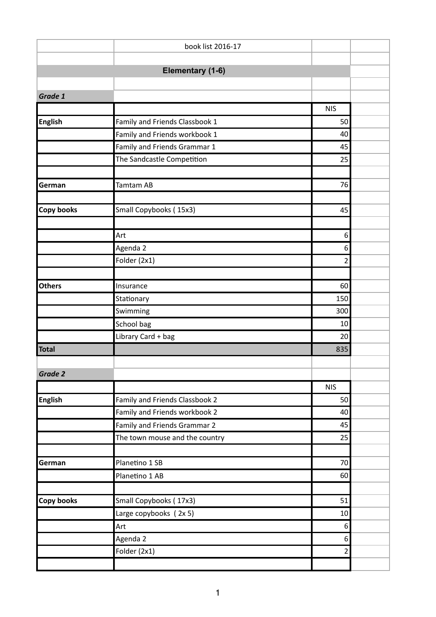| Elementary (1-6)<br>Grade 1<br><b>NIS</b><br>50<br><b>English</b><br>Family and Friends Classbook 1<br>Family and Friends workbook 1<br>40<br>Family and Friends Grammar 1<br>45 |
|----------------------------------------------------------------------------------------------------------------------------------------------------------------------------------|
|                                                                                                                                                                                  |
|                                                                                                                                                                                  |
|                                                                                                                                                                                  |
|                                                                                                                                                                                  |
|                                                                                                                                                                                  |
|                                                                                                                                                                                  |
|                                                                                                                                                                                  |
|                                                                                                                                                                                  |
| The Sandcastle Competition<br>25                                                                                                                                                 |
|                                                                                                                                                                                  |
| Tamtam AB<br>76<br>German                                                                                                                                                        |
|                                                                                                                                                                                  |
| <b>Copy books</b><br>Small Copybooks (15x3)<br>45                                                                                                                                |
|                                                                                                                                                                                  |
| Art<br>6                                                                                                                                                                         |
| Agenda 2<br>6                                                                                                                                                                    |
| Folder (2x1)<br>2                                                                                                                                                                |
|                                                                                                                                                                                  |
| <b>Others</b><br>60<br>Insurance                                                                                                                                                 |
| 150<br>Stationary                                                                                                                                                                |
| Swimming<br>300                                                                                                                                                                  |
| 10<br>School bag                                                                                                                                                                 |
| Library Card + bag<br>20                                                                                                                                                         |
| <b>Total</b><br>835                                                                                                                                                              |
|                                                                                                                                                                                  |
| Grade 2                                                                                                                                                                          |
| <b>NIS</b>                                                                                                                                                                       |
| <b>English</b><br>Family and Friends Classbook 2<br>50                                                                                                                           |
| Family and Friends workbook 2<br>40                                                                                                                                              |
| Family and Friends Grammar 2<br>45                                                                                                                                               |
| The town mouse and the country<br>25                                                                                                                                             |
|                                                                                                                                                                                  |
| Planetino 1 SB<br>70<br>German                                                                                                                                                   |
| Planetino 1 AB<br>60                                                                                                                                                             |
|                                                                                                                                                                                  |
| Small Copybooks (17x3)<br><b>Copy books</b><br>51                                                                                                                                |
| Large copybooks (2x 5)<br>10                                                                                                                                                     |
| 6<br>Art                                                                                                                                                                         |
| Agenda 2<br>6                                                                                                                                                                    |
| Folder (2x1)<br>$\overline{2}$                                                                                                                                                   |
|                                                                                                                                                                                  |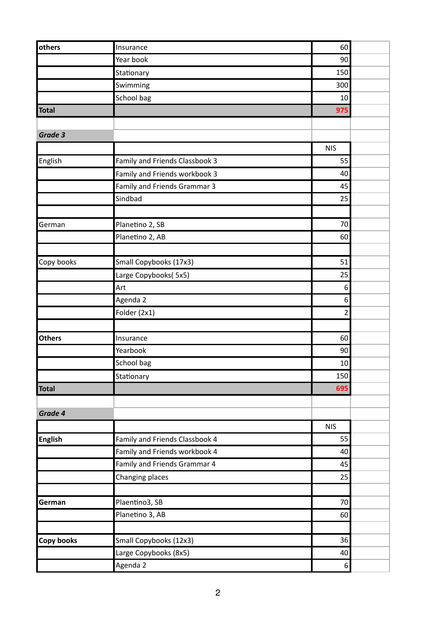| others            | Insurance                      | 60             |  |
|-------------------|--------------------------------|----------------|--|
|                   | Year book                      | 90             |  |
|                   | Stationary                     | 150            |  |
|                   | Swimming                       | 300            |  |
|                   | School bag                     | 10             |  |
| <b>Total</b>      |                                | 975            |  |
|                   |                                |                |  |
| Grade 3           |                                |                |  |
|                   |                                | <b>NIS</b>     |  |
| English           | Family and Friends Classbook 3 | 55             |  |
|                   | Family and Friends workbook 3  | 40             |  |
|                   | Family and Friends Grammar 3   | 45             |  |
|                   | Sindbad                        | 25             |  |
|                   |                                |                |  |
| German            | Planetino 2, SB                | 70             |  |
|                   | Planetino 2, AB                | 60             |  |
|                   |                                |                |  |
| Copy books        | Small Copybooks (17x3)         | 51             |  |
|                   | Large Copybooks( 5x5)          | 25             |  |
|                   | Art                            | 6              |  |
|                   | Agenda 2                       | 6              |  |
|                   | Folder (2x1)                   | $\overline{2}$ |  |
|                   |                                |                |  |
| <b>Others</b>     | Insurance                      | 60             |  |
|                   | Yearbook                       | 90             |  |
|                   | School bag                     | 10             |  |
|                   | Stationary                     | 150            |  |
| <b>Total</b>      |                                | 695            |  |
| Grade 4           |                                |                |  |
|                   |                                | <b>NIS</b>     |  |
| <b>English</b>    | Family and Friends Classbook 4 | 55             |  |
|                   | Family and Friends workbook 4  | 40             |  |
|                   | Family and Friends Grammar 4   | 45             |  |
|                   | Changing places                | 25             |  |
|                   |                                |                |  |
| German            | Plaentino3, SB                 | 70             |  |
|                   | Planetino 3, AB                | 60             |  |
|                   |                                |                |  |
| <b>Copy books</b> | Small Copybooks (12x3)         | 36             |  |
|                   | Large Copybooks (8x5)          | 40             |  |
|                   | Agenda 2                       | $6 \mid$       |  |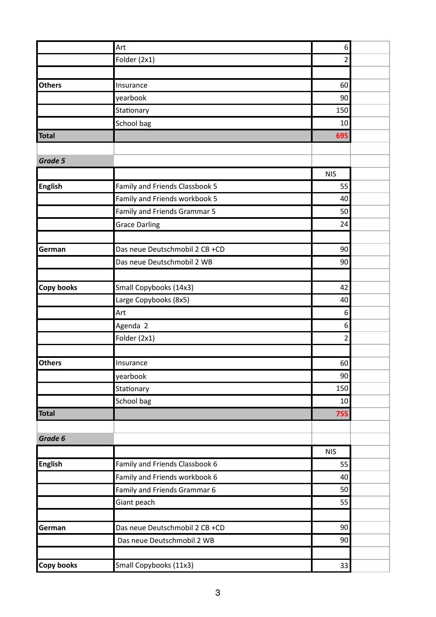|                   | Art                            | 6              |  |
|-------------------|--------------------------------|----------------|--|
|                   | Folder (2x1)                   | $\overline{2}$ |  |
|                   |                                |                |  |
| <b>Others</b>     | Insurance                      | 60             |  |
|                   | yearbook                       | 90             |  |
|                   | Stationary                     | 150            |  |
|                   | School bag                     | 10             |  |
| <b>Total</b>      |                                | 695            |  |
|                   |                                |                |  |
| Grade 5           |                                |                |  |
|                   |                                | <b>NIS</b>     |  |
| <b>English</b>    | Family and Friends Classbook 5 | 55             |  |
|                   | Family and Friends workbook 5  | 40             |  |
|                   | Family and Friends Grammar 5   | 50             |  |
|                   | <b>Grace Darling</b>           | 24             |  |
|                   |                                |                |  |
| German            | Das neue Deutschmobil 2 CB +CD | 90             |  |
|                   | Das neue Deutschmobil 2 WB     | 90             |  |
|                   |                                |                |  |
| <b>Copy books</b> | Small Copybooks (14x3)         | 42             |  |
|                   | Large Copybooks (8x5)          | 40             |  |
|                   | Art                            | 6              |  |
|                   | Agenda 2                       | 6              |  |
|                   | Folder (2x1)                   | $\overline{2}$ |  |
|                   |                                |                |  |
| <b>Others</b>     | Insurance                      | 60             |  |
|                   | yearbook                       | 90             |  |
|                   | Stationary                     | 150            |  |
|                   | School bag                     | 10             |  |
| <b>Total</b>      |                                | 755            |  |
|                   |                                |                |  |
| Grade 6           |                                |                |  |
|                   |                                | <b>NIS</b>     |  |
| <b>English</b>    | Family and Friends Classbook 6 | 55             |  |
|                   | Family and Friends workbook 6  | 40             |  |
|                   | Family and Friends Grammar 6   | 50             |  |
|                   | Giant peach                    | 55             |  |
|                   |                                |                |  |
| German            | Das neue Deutschmobil 2 CB +CD | 90             |  |
|                   | Das neue Deutschmobil 2 WB     | 90             |  |
|                   |                                |                |  |
| <b>Copy books</b> | Small Copybooks (11x3)         | 33             |  |